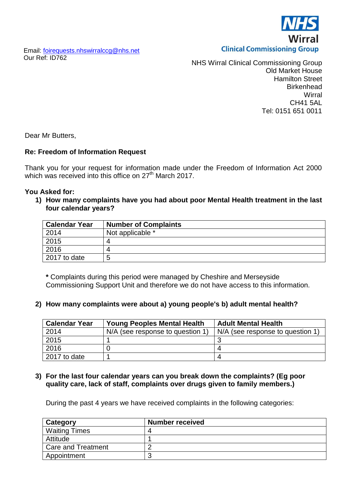rral **Clinical Commissioning Group** 

Email: [foirequests.nhswirralccg@nhs.net](mailto:foirequests.nhswirralccg@nhs.net) Our Ref: ID762

NHS Wirral Clinical Commissioning Group Old Market House Hamilton Street **Birkenhead Wirral** CH41 5AL Tel: 0151 651 0011

Dear Mr Butters,

## **Re: Freedom of Information Request**

Thank you for your request for information made under the Freedom of Information Act 2000 which was received into this office on 27<sup>th</sup> March 2017.

#### **You Asked for:**

**1) How many complaints have you had about poor Mental Health treatment in the last four calendar years?**

| <b>Calendar Year</b> | <b>Number of Complaints</b> |
|----------------------|-----------------------------|
| 2014                 | Not applicable *            |
| 2015                 |                             |
| 2016                 |                             |
| 2017 to date         | ∽                           |

**\*** Complaints during this period were managed by Cheshire and Merseyside Commissioning Support Unit and therefore we do not have access to this information.

## **2) How many complaints were about a) young people's b) adult mental health?**

| <b>Calendar Year</b> | <b>Young Peoples Mental Health</b> | <b>Adult Mental Health</b>       |
|----------------------|------------------------------------|----------------------------------|
| 2014                 | N/A (see response to question 1)   | N/A (see response to question 1) |
| 2015                 |                                    |                                  |
| 2016                 |                                    |                                  |
| 2017 to date         |                                    |                                  |

#### **3) For the last four calendar years can you break down the complaints? (Eg poor quality care, lack of staff, complaints over drugs given to family members.)**

During the past 4 years we have received complaints in the following categories:

| Category                  | <b>Number received</b> |
|---------------------------|------------------------|
| <b>Waiting Times</b>      |                        |
| Attitude                  |                        |
| <b>Care and Treatment</b> |                        |
| Appointment               |                        |